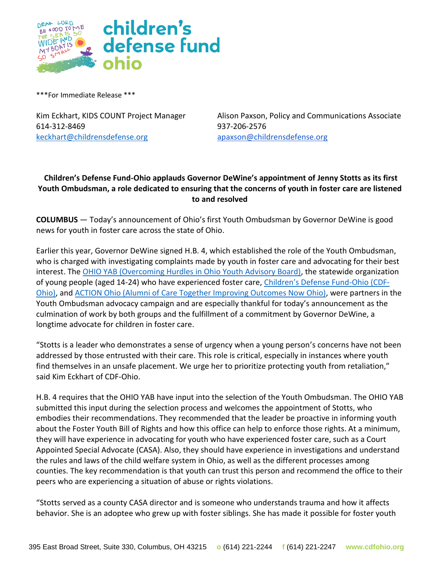

\*\*\*For Immediate Release \*\*\*

614-312-8469 937-206-2576 [keckhart@childrensdefense.org](mailto:keckhart@childrensdefense.org) [apaxson@childrensdefense.org](mailto:apaxson@childrensdefense.org)

Kim Eckhart, KIDS COUNT Project Manager Alison Paxson, Policy and Communications Associate

## **Children's Defense Fund-Ohio applauds Governor DeWine's appointment of Jenny Stotts as its first Youth Ombudsman, a role dedicated to ensuring that the concerns of youth in foster care are listened to and resolved**

**COLUMBUS** — Today's announcement of Ohio's first Youth Ombudsman by Governor DeWine is good news for youth in foster care across the state of Ohio.

Earlier this year, Governor DeWine signed H.B. 4, which established the role of the Youth Ombudsman, who is charged with investigating complaints made by youth in foster care and advocating for their best interest. The [OHIO YAB \(Overcoming Hurdles in Ohio Youth Advisory Board\),](https://fosteractionohio.org/yab/) the statewide organization of young people (aged 14-24) who have experienced foster care, [Children's Defense Fund](http://www.cdfohio.org/)-Ohio (CDF-[Ohio\),](http://www.cdfohio.org/) and ACTION Ohio [\(Alumni of Care Together Improving Outcomes Now Ohio\),](https://fosteractionohio.org/alumniaction/) were partners in the Youth Ombudsman advocacy campaign and are especially thankful for today's announcement as the culmination of work by both groups and the fulfillment of a commitment by Governor DeWine, a longtime advocate for children in foster care.

"Stotts is a leader who demonstrates a sense of urgency when a young person's concerns have not been addressed by those entrusted with their care. This role is critical, especially in instances where youth find themselves in an unsafe placement. We urge her to prioritize protecting youth from retaliation," said Kim Eckhart of CDF-Ohio.

H.B. 4 requires that the OHIO YAB have input into the selection of the Youth Ombudsman. The OHIO YAB submitted this input during the selection process and welcomes the appointment of Stotts, who embodies their recommendations. They recommended that the leader be proactive in informing youth about the Foster Youth Bill of Rights and how this office can help to enforce those rights. At a minimum, they will have experience in advocating for youth who have experienced foster care, such as a Court Appointed Special Advocate (CASA). Also, they should have experience in investigations and understand the rules and laws of the child welfare system in Ohio, as well as the different processes among counties. The key recommendation is that youth can trust this person and recommend the office to their peers who are experiencing a situation of abuse or rights violations.

"Stotts served as a county CASA director and is someone who understands trauma and how it affects behavior. She is an adoptee who grew up with foster siblings. She has made it possible for foster youth